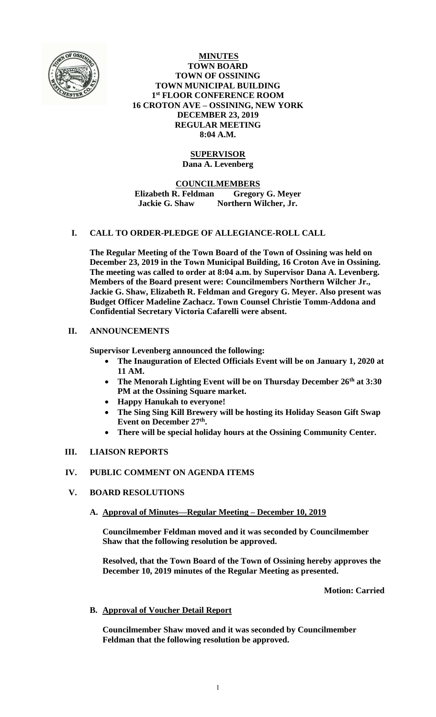

**MINUTES TOWN BOARD TOWN OF OSSINING TOWN MUNICIPAL BUILDING 1 st FLOOR CONFERENCE ROOM 16 CROTON AVE – OSSINING, NEW YORK DECEMBER 23, 2019 REGULAR MEETING 8:04 A.M.**

# **SUPERVISOR Dana A. Levenberg**

**COUNCILMEMBERS Elizabeth R. Feldman Gregory G. Meyer Jackie G. Shaw Northern Wilcher, Jr.**

# **I. CALL TO ORDER-PLEDGE OF ALLEGIANCE-ROLL CALL**

**The Regular Meeting of the Town Board of the Town of Ossining was held on December 23, 2019 in the Town Municipal Building, 16 Croton Ave in Ossining. The meeting was called to order at 8:04 a.m. by Supervisor Dana A. Levenberg. Members of the Board present were: Councilmembers Northern Wilcher Jr., Jackie G. Shaw, Elizabeth R. Feldman and Gregory G. Meyer. Also present was Budget Officer Madeline Zachacz. Town Counsel Christie Tomm-Addona and Confidential Secretary Victoria Cafarelli were absent.**

# **II. ANNOUNCEMENTS**

**Supervisor Levenberg announced the following:**

- **The Inauguration of Elected Officials Event will be on January 1, 2020 at 11 AM.**
- **The Menorah Lighting Event will be on Thursday December 26th at 3:30 PM at the Ossining Square market.**
- **Happy Hanukah to everyone!**
- **The Sing Sing Kill Brewery will be hosting its Holiday Season Gift Swap Event on December 27th .**
- **There will be special holiday hours at the Ossining Community Center.**

# **III. LIAISON REPORTS**

# **IV. PUBLIC COMMENT ON AGENDA ITEMS**

- **V. BOARD RESOLUTIONS**
	- **A. Approval of Minutes—Regular Meeting – December 10, 2019**

**Councilmember Feldman moved and it was seconded by Councilmember Shaw that the following resolution be approved.**

**Resolved, that the Town Board of the Town of Ossining hereby approves the December 10, 2019 minutes of the Regular Meeting as presented.**

**Motion: Carried**

# **B. Approval of Voucher Detail Report**

**Councilmember Shaw moved and it was seconded by Councilmember Feldman that the following resolution be approved.**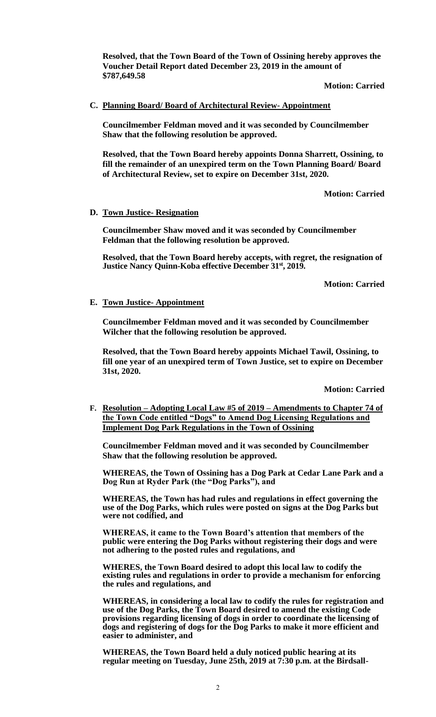**Resolved, that the Town Board of the Town of Ossining hereby approves the Voucher Detail Report dated December 23, 2019 in the amount of \$787,649.58**

**Motion: Carried**

## **C. Planning Board/ Board of Architectural Review- Appointment**

**Councilmember Feldman moved and it was seconded by Councilmember Shaw that the following resolution be approved.**

**Resolved, that the Town Board hereby appoints Donna Sharrett, Ossining, to fill the remainder of an unexpired term on the Town Planning Board/ Board of Architectural Review, set to expire on December 31st, 2020.**

**Motion: Carried**

#### **D. Town Justice- Resignation**

**Councilmember Shaw moved and it was seconded by Councilmember Feldman that the following resolution be approved.**

**Resolved, that the Town Board hereby accepts, with regret, the resignation of Justice Nancy Quinn-Koba effective December 31st, 2019.**

**Motion: Carried**

## **E. Town Justice- Appointment**

**Councilmember Feldman moved and it was seconded by Councilmember Wilcher that the following resolution be approved.**

**Resolved, that the Town Board hereby appoints Michael Tawil, Ossining, to fill one year of an unexpired term of Town Justice, set to expire on December 31st, 2020.**

**Motion: Carried**

**F. Resolution – Adopting Local Law #5 of 2019 – Amendments to Chapter 74 of the Town Code entitled "Dogs" to Amend Dog Licensing Regulations and Implement Dog Park Regulations in the Town of Ossining**

**Councilmember Feldman moved and it was seconded by Councilmember Shaw that the following resolution be approved.**

**WHEREAS, the Town of Ossining has a Dog Park at Cedar Lane Park and a Dog Run at Ryder Park (the "Dog Parks"), and**

**WHEREAS, the Town has had rules and regulations in effect governing the use of the Dog Parks, which rules were posted on signs at the Dog Parks but were not codified, and**

**WHEREAS, it came to the Town Board's attention that members of the public were entering the Dog Parks without registering their dogs and were not adhering to the posted rules and regulations, and**

**WHERES, the Town Board desired to adopt this local law to codify the existing rules and regulations in order to provide a mechanism for enforcing the rules and regulations, and**

**WHEREAS, in considering a local law to codify the rules for registration and use of the Dog Parks, the Town Board desired to amend the existing Code provisions regarding licensing of dogs in order to coordinate the licensing of dogs and registering of dogs for the Dog Parks to make it more efficient and easier to administer, and**

**WHEREAS, the Town Board held a duly noticed public hearing at its regular meeting on Tuesday, June 25th, 2019 at 7:30 p.m. at the Birdsall-**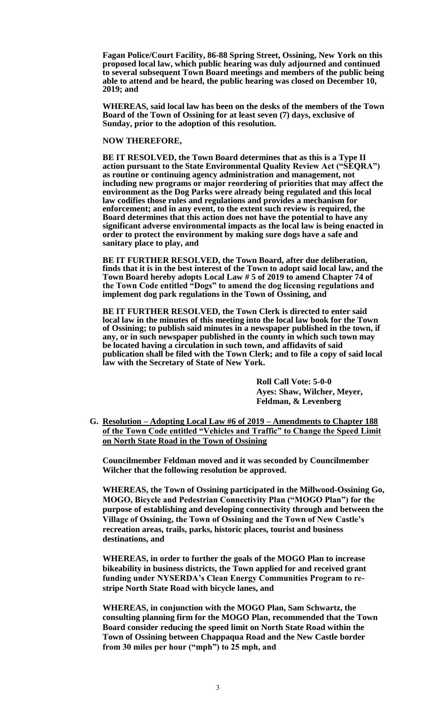**Fagan Police/Court Facility, 86-88 Spring Street, Ossining, New York on this proposed local law, which public hearing was duly adjourned and continued to several subsequent Town Board meetings and members of the public being able to attend and be heard, the public hearing was closed on December 10, 2019; and**

**WHEREAS, said local law has been on the desks of the members of the Town Board of the Town of Ossining for at least seven (7) days, exclusive of Sunday, prior to the adoption of this resolution.**

#### **NOW THEREFORE,**

**BE IT RESOLVED, the Town Board determines that as this is a Type II action pursuant to the State Environmental Quality Review Act ("SEQRA") as routine or continuing agency administration and management, not including new programs or major reordering of priorities that may affect the environment as the Dog Parks were already being regulated and this local law codifies those rules and regulations and provides a mechanism for enforcement; and in any event, to the extent such review is required, the Board determines that this action does not have the potential to have any significant adverse environmental impacts as the local law is being enacted in order to protect the environment by making sure dogs have a safe and sanitary place to play, and**

**BE IT FURTHER RESOLVED, the Town Board, after due deliberation, finds that it is in the best interest of the Town to adopt said local law, and the Town Board hereby adopts Local Law # 5 of 2019 to amend Chapter 74 of the Town Code entitled "Dogs" to amend the dog licensing regulations and implement dog park regulations in the Town of Ossining, and** 

**BE IT FURTHER RESOLVED, the Town Clerk is directed to enter said local law in the minutes of this meeting into the local law book for the Town of Ossining; to publish said minutes in a newspaper published in the town, if any, or in such newspaper published in the county in which such town may be located having a circulation in such town, and affidavits of said publication shall be filed with the Town Clerk; and to file a copy of said local law with the Secretary of State of New York.**

> **Roll Call Vote: 5-0-0 Ayes: Shaw, Wilcher, Meyer, Feldman, & Levenberg**

**G. Resolution – Adopting Local Law #6 of 2019 – Amendments to Chapter 188 of the Town Code entitled "Vehicles and Traffic" to Change the Speed Limit on North State Road in the Town of Ossining**

**Councilmember Feldman moved and it was seconded by Councilmember Wilcher that the following resolution be approved.**

**WHEREAS, the Town of Ossining participated in the Millwood-Ossining Go, MOGO, Bicycle and Pedestrian Connectivity Plan ("MOGO Plan") for the purpose of establishing and developing connectivity through and between the Village of Ossining, the Town of Ossining and the Town of New Castle's recreation areas, trails, parks, historic places, tourist and business destinations, and**

**WHEREAS, in order to further the goals of the MOGO Plan to increase bikeability in business districts, the Town applied for and received grant funding under NYSERDA's Clean Energy Communities Program to restripe North State Road with bicycle lanes, and**

**WHEREAS, in conjunction with the MOGO Plan, Sam Schwartz, the consulting planning firm for the MOGO Plan, recommended that the Town Board consider reducing the speed limit on North State Road within the Town of Ossining between Chappaqua Road and the New Castle border from 30 miles per hour ("mph") to 25 mph, and**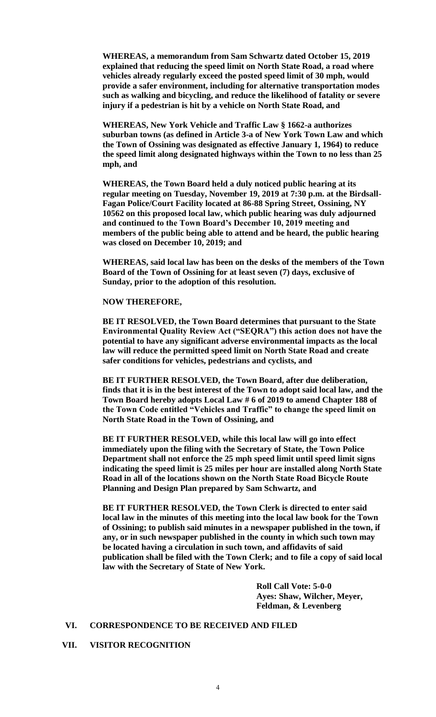**WHEREAS, a memorandum from Sam Schwartz dated October 15, 2019 explained that reducing the speed limit on North State Road, a road where vehicles already regularly exceed the posted speed limit of 30 mph, would provide a safer environment, including for alternative transportation modes such as walking and bicycling, and reduce the likelihood of fatality or severe injury if a pedestrian is hit by a vehicle on North State Road, and**

**WHEREAS, New York Vehicle and Traffic Law § 1662-a authorizes suburban towns (as defined in Article 3-a of New York Town Law and which the Town of Ossining was designated as effective January 1, 1964) to reduce the speed limit along designated highways within the Town to no less than 25 mph, and**

**WHEREAS, the Town Board held a duly noticed public hearing at its regular meeting on Tuesday, November 19, 2019 at 7:30 p.m. at the Birdsall-Fagan Police/Court Facility located at 86-88 Spring Street, Ossining, NY 10562 on this proposed local law, which public hearing was duly adjourned and continued to the Town Board's December 10, 2019 meeting and members of the public being able to attend and be heard, the public hearing was closed on December 10, 2019; and**

**WHEREAS, said local law has been on the desks of the members of the Town Board of the Town of Ossining for at least seven (7) days, exclusive of Sunday, prior to the adoption of this resolution.**

#### **NOW THEREFORE,**

**BE IT RESOLVED, the Town Board determines that pursuant to the State Environmental Quality Review Act ("SEQRA") this action does not have the potential to have any significant adverse environmental impacts as the local law will reduce the permitted speed limit on North State Road and create safer conditions for vehicles, pedestrians and cyclists, and**

**BE IT FURTHER RESOLVED, the Town Board, after due deliberation, finds that it is in the best interest of the Town to adopt said local law, and the Town Board hereby adopts Local Law # 6 of 2019 to amend Chapter 188 of the Town Code entitled "Vehicles and Traffic" to change the speed limit on North State Road in the Town of Ossining, and** 

**BE IT FURTHER RESOLVED, while this local law will go into effect immediately upon the filing with the Secretary of State, the Town Police Department shall not enforce the 25 mph speed limit until speed limit signs indicating the speed limit is 25 miles per hour are installed along North State Road in all of the locations shown on the North State Road Bicycle Route Planning and Design Plan prepared by Sam Schwartz, and**

**BE IT FURTHER RESOLVED, the Town Clerk is directed to enter said local law in the minutes of this meeting into the local law book for the Town of Ossining; to publish said minutes in a newspaper published in the town, if any, or in such newspaper published in the county in which such town may be located having a circulation in such town, and affidavits of said publication shall be filed with the Town Clerk; and to file a copy of said local law with the Secretary of State of New York.**

> **Roll Call Vote: 5-0-0 Ayes: Shaw, Wilcher, Meyer, Feldman, & Levenberg**

#### **VI. CORRESPONDENCE TO BE RECEIVED AND FILED**

## **VII. VISITOR RECOGNITION**